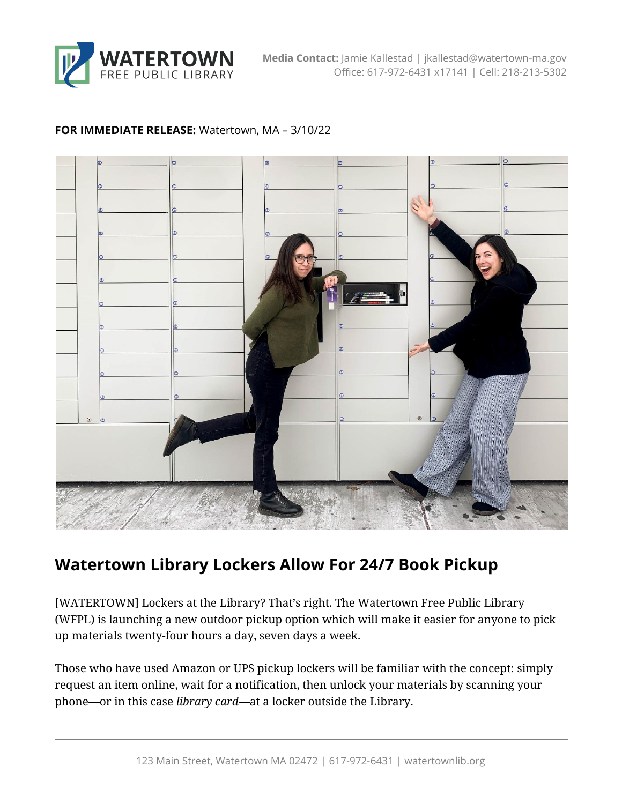

## **FOR IMMEDIATE RELEASE:** Watertown, MA – 3/10/22



## **Watertown Library Lockers Allow For 24/7 Book Pickup**

[WATERTOWN] Lockers at the Library? That's right. The Watertown Free Public Library (WFPL) is launching a new outdoor pickup option which will make it easier for anyone to pick up materials twenty-four hours a day, seven days a week.

Those who have used Amazon or UPS pickup lockers will be familiar with the concept: simply request an item online, wait for a notification, then unlock your materials by scanning your phone—or in this case *library card—*at a locker outside the Library.